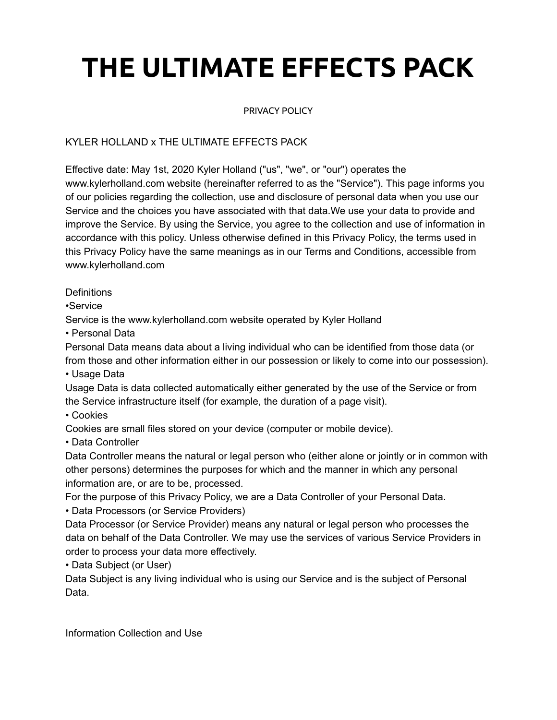# **THE ULTIMATE EFFECTS PACK**

#### PRIVACY POLICY

## KYLER HOLLAND x THE ULTIMATE EFFECTS PACK

Effective date: May 1st, 2020 Kyler Holland ("us", "we", or "our") operates the www.kylerholland.com website (hereinafter referred to as the "Service"). This page informs you of our policies regarding the collection, use and disclosure of personal data when you use our Service and the choices you have associated with that data.We use your data to provide and improve the Service. By using the Service, you agree to the collection and use of information in accordance with this policy. Unless otherwise defined in this Privacy Policy, the terms used in this Privacy Policy have the same meanings as in our Terms and Conditions, accessible from www.kylerholland.com

**Definitions** 

•Service

Service is the www.kylerholland.com website operated by Kyler Holland

• Personal Data

Personal Data means data about a living individual who can be identified from those data (or from those and other information either in our possession or likely to come into our possession).

• Usage Data

Usage Data is data collected automatically either generated by the use of the Service or from the Service infrastructure itself (for example, the duration of a page visit).

• Cookies

Cookies are small files stored on your device (computer or mobile device).

• Data Controller

Data Controller means the natural or legal person who (either alone or jointly or in common with other persons) determines the purposes for which and the manner in which any personal information are, or are to be, processed.

For the purpose of this Privacy Policy, we are a Data Controller of your Personal Data.

• Data Processors (or Service Providers)

Data Processor (or Service Provider) means any natural or legal person who processes the data on behalf of the Data Controller. We may use the services of various Service Providers in order to process your data more effectively.

• Data Subject (or User)

Data Subject is any living individual who is using our Service and is the subject of Personal Data.

Information Collection and Use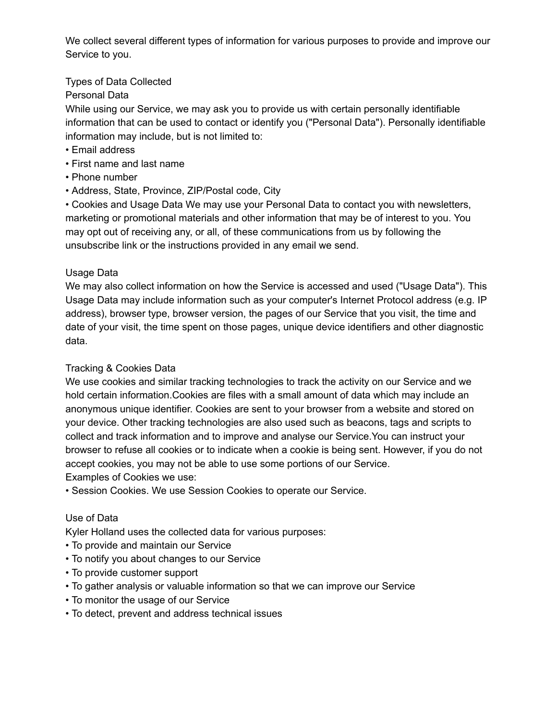We collect several different types of information for various purposes to provide and improve our Service to you.

### Types of Data Collected

## Personal Data

While using our Service, we may ask you to provide us with certain personally identifiable information that can be used to contact or identify you ("Personal Data"). Personally identifiable information may include, but is not limited to:

- Email address
- First name and last name
- Phone number
- Address, State, Province, ZIP/Postal code, City

• Cookies and Usage Data We may use your Personal Data to contact you with newsletters, marketing or promotional materials and other information that may be of interest to you. You may opt out of receiving any, or all, of these communications from us by following the unsubscribe link or the instructions provided in any email we send.

## Usage Data

We may also collect information on how the Service is accessed and used ("Usage Data"). This Usage Data may include information such as your computer's Internet Protocol address (e.g. IP address), browser type, browser version, the pages of our Service that you visit, the time and date of your visit, the time spent on those pages, unique device identifiers and other diagnostic data.

## Tracking & Cookies Data

We use cookies and similar tracking technologies to track the activity on our Service and we hold certain information.Cookies are files with a small amount of data which may include an anonymous unique identifier. Cookies are sent to your browser from a website and stored on your device. Other tracking technologies are also used such as beacons, tags and scripts to collect and track information and to improve and analyse our Service.You can instruct your browser to refuse all cookies or to indicate when a cookie is being sent. However, if you do not accept cookies, you may not be able to use some portions of our Service.

Examples of Cookies we use:

• Session Cookies. We use Session Cookies to operate our Service.

#### Use of Data

Kyler Holland uses the collected data for various purposes:

- To provide and maintain our Service
- To notify you about changes to our Service
- To provide customer support
- To gather analysis or valuable information so that we can improve our Service
- To monitor the usage of our Service
- To detect, prevent and address technical issues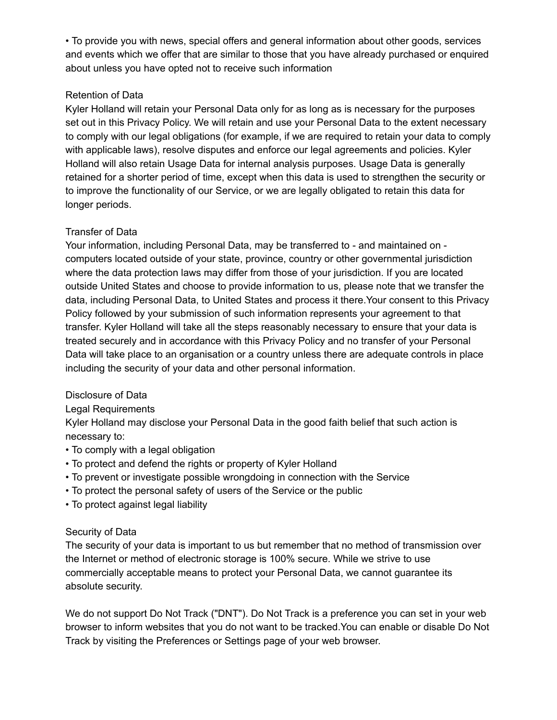• To provide you with news, special offers and general information about other goods, services and events which we offer that are similar to those that you have already purchased or enquired about unless you have opted not to receive such information

### Retention of Data

Kyler Holland will retain your Personal Data only for as long as is necessary for the purposes set out in this Privacy Policy. We will retain and use your Personal Data to the extent necessary to comply with our legal obligations (for example, if we are required to retain your data to comply with applicable laws), resolve disputes and enforce our legal agreements and policies. Kyler Holland will also retain Usage Data for internal analysis purposes. Usage Data is generally retained for a shorter period of time, except when this data is used to strengthen the security or to improve the functionality of our Service, or we are legally obligated to retain this data for longer periods.

## Transfer of Data

Your information, including Personal Data, may be transferred to - and maintained on computers located outside of your state, province, country or other governmental jurisdiction where the data protection laws may differ from those of your jurisdiction. If you are located outside United States and choose to provide information to us, please note that we transfer the data, including Personal Data, to United States and process it there.Your consent to this Privacy Policy followed by your submission of such information represents your agreement to that transfer. Kyler Holland will take all the steps reasonably necessary to ensure that your data is treated securely and in accordance with this Privacy Policy and no transfer of your Personal Data will take place to an organisation or a country unless there are adequate controls in place including the security of your data and other personal information.

## Disclosure of Data

## Legal Requirements

Kyler Holland may disclose your Personal Data in the good faith belief that such action is necessary to:

- To comply with a legal obligation
- To protect and defend the rights or property of Kyler Holland
- To prevent or investigate possible wrongdoing in connection with the Service
- To protect the personal safety of users of the Service or the public
- To protect against legal liability

## Security of Data

The security of your data is important to us but remember that no method of transmission over the Internet or method of electronic storage is 100% secure. While we strive to use commercially acceptable means to protect your Personal Data, we cannot guarantee its absolute security.

We do not support Do Not Track ("DNT"). Do Not Track is a preference you can set in your web browser to inform websites that you do not want to be tracked.You can enable or disable Do Not Track by visiting the Preferences or Settings page of your web browser.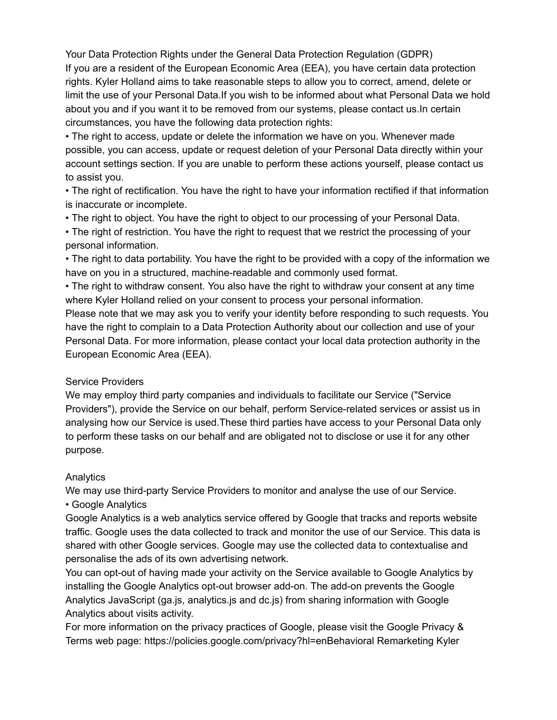Your Data Protection Rights under the General Data Protection Regulation (GDPR) If you are a resident of the European Economic Area (EEA), you have certain data protection rights. Kyler Holland aims to take reasonable steps to allow you to correct, amend, delete or limit the use of your Personal Data.If you wish to be informed about what Personal Data we hold about you and if you want it to be removed from our systems, please contact us.In certain circumstances, you have the following data protection rights:

• The right to access, update or delete the information we have on you. Whenever made possible, you can access, update or request deletion of your Personal Data directly within your account settings section. If you are unable to perform these actions yourself, please contact us to assist you.

• The right of rectification. You have the right to have your information rectified if that information is inaccurate or incomplete.

• The right to object. You have the right to object to our processing of your Personal Data.

• The right of restriction. You have the right to request that we restrict the processing of your personal information.

• The right to data portability. You have the right to be provided with a copy of the information we have on you in a structured, machine-readable and commonly used format.

• The right to withdraw consent. You also have the right to withdraw your consent at any time where Kyler Holland relied on your consent to process your personal information.

Please note that we may ask you to verify your identity before responding to such requests. You have the right to complain to a Data Protection Authority about our collection and use of your Personal Data. For more information, please contact your local data protection authority in the European Economic Area (EEA).

#### Service Providers

We may employ third party companies and individuals to facilitate our Service ("Service Providers"), provide the Service on our behalf, perform Service-related services or assist us in analysing how our Service is used.These third parties have access to your Personal Data only to perform these tasks on our behalf and are obligated not to disclose or use it for any other purpose.

## **Analytics**

We may use third-party Service Providers to monitor and analyse the use of our Service.

• Google Analytics

Google Analytics is a web analytics service offered by Google that tracks and reports website traffic. Google uses the data collected to track and monitor the use of our Service. This data is shared with other Google services. Google may use the collected data to contextualise and personalise the ads of its own advertising network.

You can opt-out of having made your activity on the Service available to Google Analytics by installing the Google Analytics opt-out browser add-on. The add-on prevents the Google Analytics JavaScript (ga.js, analytics.js and dc.js) from sharing information with Google Analytics about visits activity.

For more information on the privacy practices of Google, please visit the Google Privacy & Terms web page: https://policies.google.com/privacy?hl=enBehavioral Remarketing Kyler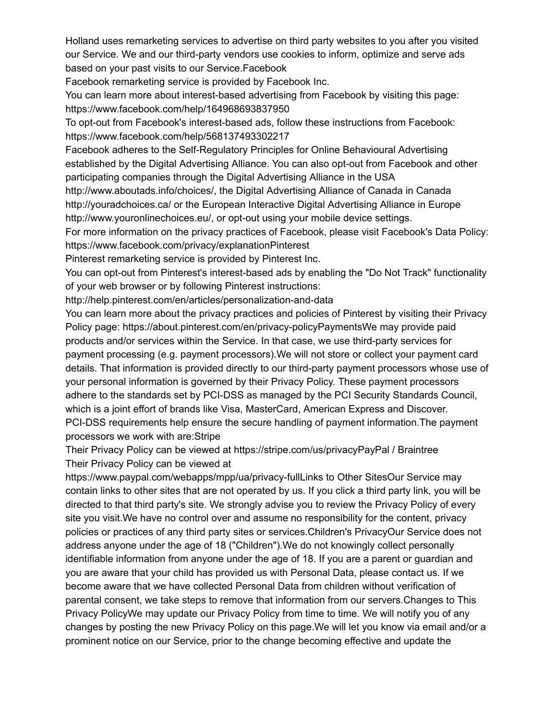Holland uses remarketing services to advertise on third party websites to you after you visited our Service. We and our third-party vendors use cookies to inform, optimize and serve ads based on your past visits to our Service.Facebook

Facebook remarketing service is provided by Facebook Inc.

You can learn more about interest-based advertising from Facebook by visiting this page: https://www.facebook.com/help/164968693837950

To opt-out from Facebook's interest-based ads, follow these instructions from Facebook: https://www.facebook.com/help/568137493302217

Facebook adheres to the Self-Regulatory Principles for Online Behavioural Advertising established by the Digital Advertising Alliance. You can also opt-out from Facebook and other participating companies through the Digital Advertising Alliance in the USA

http://www.aboutads.info/choices/, the Digital Advertising Alliance of Canada in Canada http://youradchoices.ca/ or the European Interactive Digital Advertising Alliance in Europe http://www.youronlinechoices.eu/, or opt-out using your mobile device settings.

For more information on the privacy practices of Facebook, please visit Facebook's Data Policy: https://www.facebook.com/privacy/explanationPinterest

Pinterest remarketing service is provided by Pinterest Inc.

You can opt-out from Pinterest's interest-based ads by enabling the "Do Not Track" functionality of your web browser or by following Pinterest instructions:

http://help.pinterest.com/en/articles/personalization-and-data

You can learn more about the privacy practices and policies of Pinterest by visiting their Privacy Policy page: https://about.pinterest.com/en/privacy-policyPaymentsWe may provide paid products and/or services within the Service. In that case, we use third-party services for payment processing (e.g. payment processors).We will not store or collect your payment card details. That information is provided directly to our third-party payment processors whose use of your personal information is governed by their Privacy Policy. These payment processors adhere to the standards set by PCI-DSS as managed by the PCI Security Standards Council, which is a joint effort of brands like Visa, MasterCard, American Express and Discover. PCI-DSS requirements help ensure the secure handling of payment information.The payment processors we work with are:Stripe

Their Privacy Policy can be viewed at https://stripe.com/us/privacyPayPal / Braintree Their Privacy Policy can be viewed at

https://www.paypal.com/webapps/mpp/ua/privacy-fullLinks to Other SitesOur Service may contain links to other sites that are not operated by us. If you click a third party link, you will be directed to that third party's site. We strongly advise you to review the Privacy Policy of every site you visit.We have no control over and assume no responsibility for the content, privacy policies or practices of any third party sites or services.Children's PrivacyOur Service does not address anyone under the age of 18 ("Children").We do not knowingly collect personally identifiable information from anyone under the age of 18. If you are a parent or guardian and you are aware that your child has provided us with Personal Data, please contact us. If we become aware that we have collected Personal Data from children without verification of parental consent, we take steps to remove that information from our servers.Changes to This Privacy PolicyWe may update our Privacy Policy from time to time. We will notify you of any changes by posting the new Privacy Policy on this page.We will let you know via email and/or a prominent notice on our Service, prior to the change becoming effective and update the